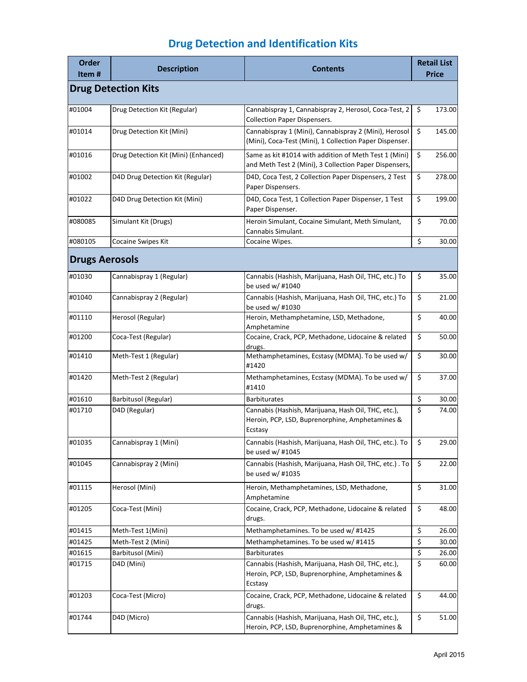| Order<br>Item#        | <b>Description</b>                   | <b>Contents</b>                                                                                                   |                          | <b>Retail List</b><br>Price |
|-----------------------|--------------------------------------|-------------------------------------------------------------------------------------------------------------------|--------------------------|-----------------------------|
|                       | <b>Drug Detection Kits</b>           |                                                                                                                   |                          |                             |
| #01004                | Drug Detection Kit (Regular)         | Cannabispray 1, Cannabispray 2, Herosol, Coca-Test, 2<br><b>Collection Paper Dispensers.</b>                      | \$                       | 173.00                      |
| #01014                | Drug Detection Kit (Mini)            | Cannabispray 1 (Mini), Cannabispray 2 (Mini), Herosol<br>(Mini), Coca-Test (Mini), 1 Collection Paper Dispenser.  | \$                       | 145.00                      |
| #01016                | Drug Detection Kit (Mini) (Enhanced) | Same as kit #1014 with addition of Meth Test 1 (Mini)<br>and Meth Test 2 (Mini), 3 Collection Paper Dispensers,   | \$                       | 256.00                      |
| #01002                | D4D Drug Detection Kit (Regular)     | D4D, Coca Test, 2 Collection Paper Dispensers, 2 Test<br>Paper Dispensers.                                        | \$                       | 278.00                      |
| #01022                | D4D Drug Detection Kit (Mini)        | D4D, Coca Test, 1 Collection Paper Dispenser, 1 Test<br>Paper Dispenser.                                          | \$                       | 199.00                      |
| #080085               | Simulant Kit (Drugs)                 | Heroin Simulant, Cocaine Simulant, Meth Simulant,<br>Cannabis Simulant.                                           | \$                       | 70.00                       |
| #080105               | Cocaine Swipes Kit                   | Cocaine Wipes.                                                                                                    | \$                       | 30.00                       |
| <b>Drugs Aerosols</b> |                                      |                                                                                                                   |                          |                             |
| #01030                | Cannabispray 1 (Regular)             | Cannabis (Hashish, Marijuana, Hash Oil, THC, etc.) To<br>be used w/ #1040                                         | \$                       | 35.00                       |
| #01040                | Cannabispray 2 (Regular)             | Cannabis (Hashish, Marijuana, Hash Oil, THC, etc.) To<br>be used w/ #1030                                         | \$                       | 21.00                       |
| #01110                | Herosol (Regular)                    | Heroin, Methamphetamine, LSD, Methadone,<br>Amphetamine                                                           | \$                       | 40.00                       |
| #01200                | Coca-Test (Regular)                  | Cocaine, Crack, PCP, Methadone, Lidocaine & related<br>drugs.                                                     | \$                       | 50.00                       |
| #01410                | Meth-Test 1 (Regular)                | Methamphetamines, Ecstasy (MDMA). To be used w/<br>#1420                                                          | \$                       | 30.00                       |
| #01420                | Meth-Test 2 (Regular)                | Methamphetamines, Ecstasy (MDMA). To be used w/<br>#1410                                                          | \$                       | 37.00                       |
| #01610                | Barbitusol (Regular)                 | <b>Barbiturates</b>                                                                                               | \$                       | 30.00                       |
| #01710                | D4D (Regular)                        | Cannabis (Hashish, Marijuana, Hash Oil, THC, etc.),<br>Heroin, PCP, LSD, Buprenorphine, Amphetamines &<br>Ecstasy | \$                       | 74.00                       |
| #01035                | Cannabispray 1 (Mini)                | Cannabis (Hashish, Marijuana, Hash Oil, THC, etc.). To<br>be used w/ #1045                                        | $\overline{\mathcal{L}}$ | 29.00                       |
| #01045                | Cannabispray 2 (Mini)                | Cannabis (Hashish, Marijuana, Hash Oil, THC, etc.) . To<br>be used w/ #1035                                       | \$                       | 22.00                       |
| #01115                | Herosol (Mini)                       | Heroin, Methamphetamines, LSD, Methadone,<br>Amphetamine                                                          | \$                       | 31.00                       |
| #01205                | Coca-Test (Mini)                     | Cocaine, Crack, PCP, Methadone, Lidocaine & related<br>drugs.                                                     | \$                       | 48.00                       |
| #01415                | Meth-Test 1(Mini)                    | Methamphetamines. To be used w/ #1425                                                                             | \$                       | 26.00                       |
| #01425                | Meth-Test 2 (Mini)                   | Methamphetamines. To be used w/ #1415                                                                             | \$                       | 30.00                       |
| #01615                | Barbitusol (Mini)                    | <b>Barbiturates</b>                                                                                               | \$                       | 26.00                       |
| #01715                | D4D (Mini)                           | Cannabis (Hashish, Marijuana, Hash Oil, THC, etc.),<br>Heroin, PCP, LSD, Buprenorphine, Amphetamines &<br>Ecstasy | \$                       | 60.00                       |
| #01203                | Coca-Test (Micro)                    | Cocaine, Crack, PCP, Methadone, Lidocaine & related<br>drugs.                                                     | \$                       | 44.00                       |
| #01744                | D4D (Micro)                          | Cannabis (Hashish, Marijuana, Hash Oil, THC, etc.),<br>Heroin, PCP, LSD, Buprenorphine, Amphetamines &            | \$                       | 51.00                       |

# **Drug Detection and Identification Kits**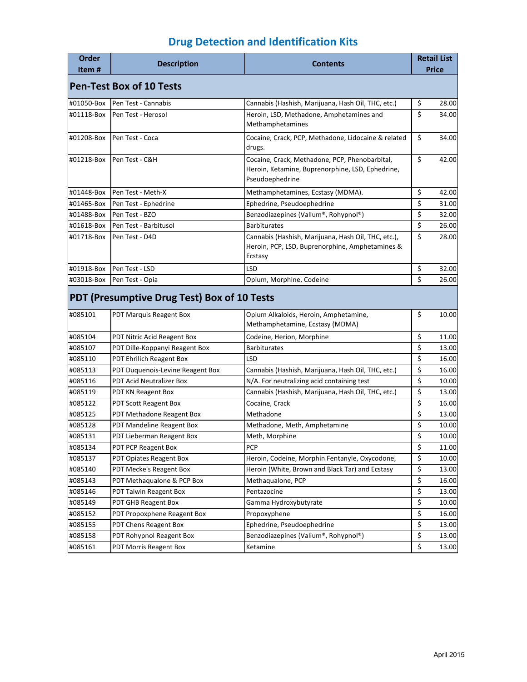## **Drug Detection and Identification Kits**

| Order              | <b>Description</b>                                                     | <b>Contents</b>                                                                                                       |          | <b>Retail List</b> |
|--------------------|------------------------------------------------------------------------|-----------------------------------------------------------------------------------------------------------------------|----------|--------------------|
| Item#              |                                                                        |                                                                                                                       |          | <b>Price</b>       |
|                    | <b>Pen-Test Box of 10 Tests</b>                                        |                                                                                                                       |          |                    |
| #01050-Box         | Pen Test - Cannabis                                                    | Cannabis (Hashish, Marijuana, Hash Oil, THC, etc.)                                                                    | \$       | 28.00              |
| #01118-Box         | Pen Test - Herosol                                                     | Heroin, LSD, Methadone, Amphetamines and<br>Methamphetamines                                                          | \$       | 34.00              |
| #01208-Box         | Pen Test - Coca                                                        | Cocaine, Crack, PCP, Methadone, Lidocaine & related<br>drugs.                                                         | \$       | 34.00              |
| #01218-Box         | Pen Test - C&H                                                         | Cocaine, Crack, Methadone, PCP, Phenobarbital,<br>Heroin, Ketamine, Buprenorphine, LSD, Ephedrine,<br>Pseudoephedrine | \$       | 42.00              |
| #01448-Box         | Pen Test - Meth-X                                                      | Methamphetamines, Ecstasy (MDMA).                                                                                     | \$       | 42.00              |
| #01465-Box         | Pen Test - Ephedrine                                                   | Ephedrine, Pseudoephedrine                                                                                            | \$       | 31.00              |
| #01488-Box         | Pen Test - BZO                                                         | Benzodiazepines (Valium®, Rohypnol®)                                                                                  | \$       | 32.00              |
| #01618-Box         | Pen Test - Barbitusol                                                  | <b>Barbiturates</b>                                                                                                   | \$       | 26.00              |
| #01718-Box         | Pen Test - D4D                                                         | Cannabis (Hashish, Marijuana, Hash Oil, THC, etc.),<br>Heroin, PCP, LSD, Buprenorphine, Amphetamines &<br>Ecstasy     | \$       | 28.00              |
| #01918-Box         | Pen Test - LSD                                                         | LSD                                                                                                                   | \$       | 32.00              |
| #03018-Box         | Pen Test - Opia                                                        | Opium, Morphine, Codeine                                                                                              | \$       | 26.00              |
| #085101            | PDT (Presumptive Drug Test) Box of 10 Tests<br>PDT Marquis Reagent Box | Opium Alkaloids, Heroin, Amphetamine,                                                                                 | \$       | 10.00              |
|                    |                                                                        | Methamphetamine, Ecstasy (MDMA)                                                                                       |          |                    |
| #085104            | PDT Nitric Acid Reagent Box                                            | Codeine, Herion, Morphine                                                                                             | \$       | 11.00              |
| #085107            | PDT Dille-Koppanyi Reagent Box                                         | <b>Barbiturates</b>                                                                                                   | \$       | 13.00              |
| #085110            | <b>PDT Ehrilich Reagent Box</b>                                        | LSD                                                                                                                   | \$       | 16.00              |
| #085113            | PDT Duquenois-Levine Reagent Box                                       | Cannabis (Hashish, Marijuana, Hash Oil, THC, etc.)                                                                    | \$       | 16.00              |
| #085116            | <b>PDT Acid Neutralizer Box</b>                                        | N/A. For neutralizing acid containing test                                                                            | \$       | 10.00              |
| #085119            | PDT KN Reagent Box                                                     | Cannabis (Hashish, Marijuana, Hash Oil, THC, etc.)                                                                    | \$       | 13.00              |
| #085122            | PDT Scott Reagent Box                                                  | Cocaine, Crack                                                                                                        | \$       | 16.00              |
| #085125            | PDT Methadone Reagent Box                                              | Methadone                                                                                                             | \$       | 13.00              |
| #085128<br>#085131 | PDT Mandeline Reagent Box                                              | Methadone, Meth, Amphetamine                                                                                          | \$<br>\$ | 10.00<br>10.00     |
|                    | PDT Lieberman Reagent Box                                              | Meth, Morphine<br><b>PCP</b>                                                                                          | \$       |                    |
| #085134<br>#085137 | PDT PCP Reagent Box<br>PDT Opiates Reagent Box                         | Heroin, Codeine, Morphin Fentanyle, Oxycodone,                                                                        | \$       | 11.00<br>10.00     |
| #085140            | PDT Mecke's Reagent Box                                                | Heroin (White, Brown and Black Tar) and Ecstasy                                                                       | \$       | 13.00              |
| #085143            | PDT Methaqualone & PCP Box                                             | Methaqualone, PCP                                                                                                     | \$       | 16.00              |
| #085146            | PDT Talwin Reagent Box                                                 | Pentazocine                                                                                                           | \$       | 13.00              |
| #085149            | PDT GHB Reagent Box                                                    | Gamma Hydroxybutyrate                                                                                                 | \$       | 10.00              |
| #085152            | PDT Propoxphene Reagent Box                                            | Propoxyphene                                                                                                          | \$       | 16.00              |
| #085155            | PDT Chens Reagent Box                                                  | Ephedrine, Pseudoephedrine                                                                                            | \$       | 13.00              |
| #085158            | PDT Rohypnol Reagent Box                                               | Benzodiazepines (Valium®, Rohypnol®)                                                                                  | \$       | 13.00              |
| #085161            | PDT Morris Reagent Box                                                 | Ketamine                                                                                                              | \$       | 13.00              |
|                    |                                                                        |                                                                                                                       |          |                    |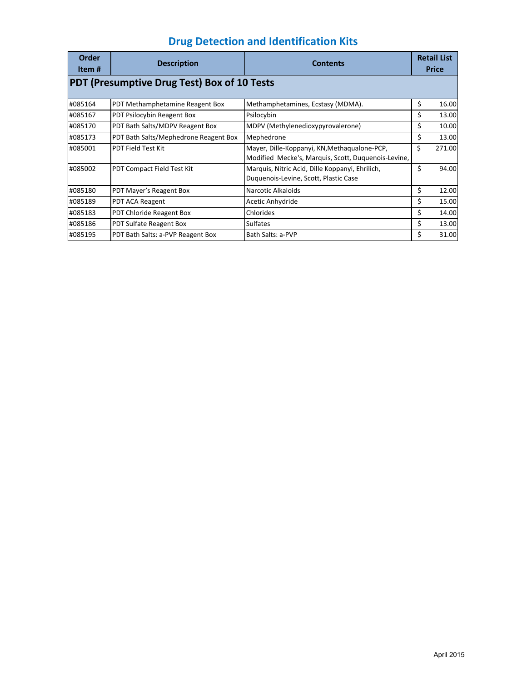| Order<br>Item# | <b>Description</b>                                 | <b>Contents</b>                                                                                     | <b>Retail List</b><br><b>Price</b> |
|----------------|----------------------------------------------------|-----------------------------------------------------------------------------------------------------|------------------------------------|
|                | <b>PDT (Presumptive Drug Test) Box of 10 Tests</b> |                                                                                                     |                                    |
| #085164        | PDT Methamphetamine Reagent Box                    | Methamphetamines, Ecstasy (MDMA).                                                                   | \$<br>16.00                        |
| #085167        | PDT Psilocybin Reagent Box                         | Psilocybin                                                                                          | \$<br>13.00                        |
| #085170        | PDT Bath Salts/MDPV Reagent Box                    | MDPV (Methylenedioxypyrovalerone)                                                                   | \$<br>10.00                        |
| #085173        | PDT Bath Salts/Mephedrone Reagent Box              | Mephedrone                                                                                          | \$<br>13.00                        |
| #085001        | <b>PDT Field Test Kit</b>                          | Mayer, Dille-Koppanyi, KN, Methaqualone-PCP,<br>Modified Mecke's, Marquis, Scott, Duquenois-Levine, | \$<br>271.00                       |
| #085002        | PDT Compact Field Test Kit                         | Marquis, Nitric Acid, Dille Koppanyi, Ehrilich,<br>Duquenois-Levine, Scott, Plastic Case            | \$<br>94.00                        |
| #085180        | PDT Mayer's Reagent Box                            | Narcotic Alkaloids                                                                                  | \$<br>12.00                        |
| #085189        | PDT ACA Reagent                                    | Acetic Anhydride                                                                                    | \$<br>15.00                        |
| #085183        | PDT Chloride Reagent Box                           | Chlorides                                                                                           | \$<br>14.00                        |
| #085186        | PDT Sulfate Reagent Box                            | <b>Sulfates</b>                                                                                     | \$<br>13.00                        |
| #085195        | PDT Bath Salts: a-PVP Reagent Box                  | Bath Salts: a-PVP                                                                                   | \$<br>31.00                        |

## **Drug Detection and Identification Kits**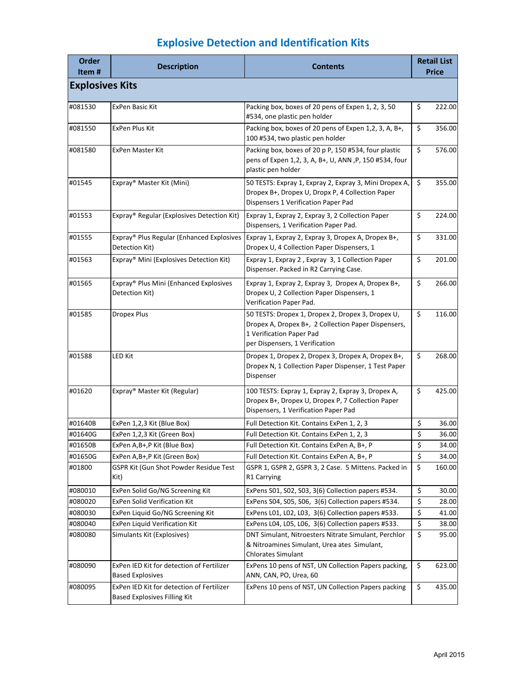| <b>Order</b><br>Item#  | <b>Description</b>                                                               | <b>Contents</b>                                                                                                                                                        |          | <b>Retail List</b><br><b>Price</b> |  |
|------------------------|----------------------------------------------------------------------------------|------------------------------------------------------------------------------------------------------------------------------------------------------------------------|----------|------------------------------------|--|
| <b>Explosives Kits</b> |                                                                                  |                                                                                                                                                                        |          |                                    |  |
| #081530                | <b>ExPen Basic Kit</b>                                                           | Packing box, boxes of 20 pens of Expen 1, 2, 3, 50<br>#534, one plastic pen holder                                                                                     | \$       | 222.00                             |  |
| #081550                | ExPen Plus Kit                                                                   | Packing box, boxes of 20 pens of Expen 1,2, 3, A, B+,<br>100 #534, two plastic pen holder                                                                              | \$       | 356.00                             |  |
| #081580                | ExPen Master Kit                                                                 | Packing box, boxes of 20 p P, 150 #534, four plastic<br>pens of Expen 1,2, 3, A, B+, U, ANN , P, 150 #534, four<br>plastic pen holder                                  | \$       | 576.00                             |  |
| #01545                 | Expray® Master Kit (Mini)                                                        | 50 TESTS: Expray 1, Expray 2, Expray 3, Mini Dropex A,<br>Dropex B+, Dropex U, Dropx P, 4 Collection Paper<br>Dispensers 1 Verification Paper Pad                      | \$       | 355.00                             |  |
| #01553                 | Expray® Regular (Explosives Detection Kit)                                       | Expray 1, Expray 2, Expray 3, 2 Collection Paper<br>Dispensers, 1 Verification Paper Pad.                                                                              | \$       | 224.00                             |  |
| #01555                 | Expray® Plus Regular (Enhanced Explosives<br>Detection Kit)                      | Expray 1, Expray 2, Expray 3, Dropex A, Dropex B+,<br>Dropex U, 4 Collection Paper Dispensers, 1                                                                       | \$       | 331.00                             |  |
| #01563                 | Expray® Mini (Explosives Detection Kit)                                          | Expray 1, Expray 2, Expray 3, 1 Collection Paper<br>Dispenser. Packed in R2 Carrying Case.                                                                             | \$       | 201.00                             |  |
| #01565                 | Expray® Plus Mini (Enhanced Explosives<br>Detection Kit)                         | Expray 1, Expray 2, Expray 3, Dropex A, Dropex B+,<br>Dropex U, 2 Collection Paper Dispensers, 1<br>Verification Paper Pad.                                            | \$       | 266.00                             |  |
| #01585                 | <b>Dropex Plus</b>                                                               | 50 TESTS: Dropex 1, Dropex 2, Dropex 3, Dropex U,<br>Dropex A, Dropex B+, 2 Collection Paper Dispensers,<br>1 Verification Paper Pad<br>per Dispensers, 1 Verification | \$       | 116.00                             |  |
| #01588                 | <b>LED Kit</b>                                                                   | Dropex 1, Dropex 2, Dropex 3, Dropex A, Dropex B+,<br>Dropex N, 1 Collection Paper Dispenser, 1 Test Paper<br>Dispenser                                                | \$       | 268.00                             |  |
| #01620                 | Expray® Master Kit (Regular)                                                     | 100 TESTS: Expray 1, Expray 2, Expray 3, Dropex A,<br>Dropex B+, Dropex U, Dropex P, 7 Collection Paper<br>Dispensers, 1 Verification Paper Pad                        | \$       | 425.00                             |  |
| #01640B                | ExPen 1,2,3 Kit (Blue Box)                                                       | Full Detection Kit. Contains ExPen 1, 2, 3                                                                                                                             | \$       | 36.00                              |  |
| #01640G                | ExPen 1,2,3 Kit (Green Box)                                                      | Full Detection Kit. Contains ExPen 1, 2, 3                                                                                                                             | \$       | 36.00                              |  |
| #01650B                | ExPen A, B+, P Kit (Blue Box)                                                    | Full Detection Kit. Contains ExPen A, B+, P                                                                                                                            | \$       | 34.00                              |  |
| #01650G<br>#01800      | ExPen A, B+, P Kit (Green Box)<br>GSPR Kit (Gun Shot Powder Residue Test<br>Kit) | Full Detection Kit. Contains ExPen A, B+, P<br>GSPR 1, GSPR 2, GSPR 3, 2 Case. 5 Mittens. Packed in<br>R1 Carrying                                                     | \$<br>\$ | 34.00<br>160.00                    |  |
| #080010                | ExPen Solid Go/NG Screening Kit                                                  | ExPens S01, S02, S03, 3(6) Collection papers #534.                                                                                                                     | \$       | 30.00                              |  |
| #080020                | ExPen Solid Verification Kit                                                     | ExPens S04, S05, S06, 3(6) Collection papers #534.                                                                                                                     | \$       | 28.00                              |  |
| #080030                | ExPen Liquid Go/NG Screening Kit                                                 | ExPens L01, L02, L03, 3(6) Collection papers #533.                                                                                                                     | \$       | 41.00                              |  |
| #080040                | ExPen Liquid Verification Kit                                                    | ExPens L04, L05, L06, 3(6) Collection papers #533.                                                                                                                     | \$       | 38.00                              |  |
| #080080                | Simulants Kit (Explosives)                                                       | DNT Simulant, Nitroesters Nitrate Simulant, Perchlor<br>& Nitroamines Simulant, Urea ates Simulant,<br><b>Chlorates Simulant</b>                                       | \$       | 95.00                              |  |
| #080090                | ExPen IED Kit for detection of Fertilizer<br><b>Based Explosives</b>             | ExPens 10 pens of NST, UN Collection Papers packing,<br>ANN, CAN, PO, Urea, 60                                                                                         | \$       | 623.00                             |  |
| #080095                | ExPen IED Kit for detection of Fertilizer<br><b>Based Explosives Filling Kit</b> | ExPens 10 pens of NST, UN Collection Papers packing                                                                                                                    | \$       | 435.00                             |  |

## **Explosive Detection and Identification Kits**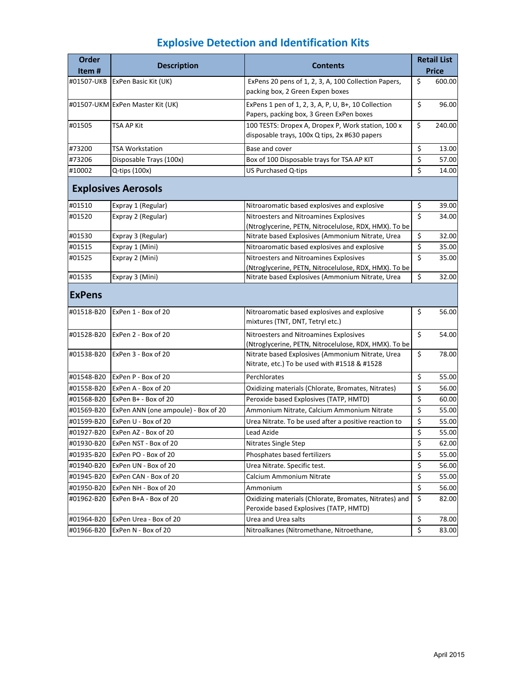## **Explosive Detection and Identification Kits**

| Order         |                                     |                                                                                                     |                         | <b>Retail List</b> |
|---------------|-------------------------------------|-----------------------------------------------------------------------------------------------------|-------------------------|--------------------|
| Item#         | <b>Description</b>                  | Contents                                                                                            |                         | Price              |
| #01507-UKB    | ExPen Basic Kit (UK)                | ExPens 20 pens of 1, 2, 3, A, 100 Collection Papers,<br>packing box, 2 Green Expen boxes            | \$                      | 600.00             |
|               | #01507-UKM ExPen Master Kit (UK)    | ExPens 1 pen of 1, 2, 3, A, P, U, B+, 10 Collection<br>Papers, packing box, 3 Green ExPen boxes     | \$                      | 96.00              |
| #01505        | TSA AP Kit                          | 100 TESTS: Dropex A, Dropex P, Work station, 100 x<br>disposable trays, 100x Q tips, 2x #630 papers | \$                      | 240.00             |
| #73200        | TSA Workstation                     | Base and cover                                                                                      | \$                      | 13.00              |
| #73206        | Disposable Trays (100x)             | Box of 100 Disposable trays for TSA AP KIT                                                          | \$                      | 57.00              |
| #10002        | Q-tips (100x)                       | US Purchased Q-tips                                                                                 | \$                      | 14.00              |
|               | <b>Explosives Aerosols</b>          |                                                                                                     |                         |                    |
| #01510        | Expray 1 (Regular)                  | Nitroaromatic based explosives and explosive                                                        | \$                      | 39.00              |
| #01520        | Expray 2 (Regular)                  | Nitroesters and Nitroamines Explosives                                                              | $\overline{\mathsf{S}}$ | 34.00              |
|               |                                     | (Ntroglycerine, PETN, Nitrocelulose, RDX, HMX). To be                                               |                         |                    |
| #01530        | Expray 3 (Regular)                  | Nitrate based Explosives (Ammonium Nitrate, Urea                                                    | \$                      | 32.00              |
| #01515        | Expray 1 (Mini)                     | Nitroaromatic based explosives and explosive                                                        | \$<br>\$                | 35.00              |
| #01525        | Expray 2 (Mini)                     | Nitroesters and Nitroamines Explosives<br>(Ntroglycerine, PETN, Nitrocelulose, RDX, HMX). To be     |                         | 35.00              |
| #01535        | Expray 3 (Mini)                     | Nitrate based Explosives (Ammonium Nitrate, Urea                                                    | \$                      | 32.00              |
| <b>ExPens</b> |                                     |                                                                                                     |                         |                    |
| #01518-B20    | ExPen 1 - Box of 20                 | Nitroaromatic based explosives and explosive<br>mixtures (TNT, DNT, Tetryl etc.)                    | \$                      | 56.00              |
| #01528-B20    | ExPen 2 - Box of 20                 | Nitroesters and Nitroamines Explosives<br>(Ntroglycerine, PETN, Nitrocelulose, RDX, HMX). To be     | \$                      | 54.00              |
| #01538-B20    | ExPen 3 - Box of 20                 | Nitrate based Explosives (Ammonium Nitrate, Urea<br>Nitrate, etc.) To be used with #1518 & #1528    | \$                      | 78.00              |
| #01548-B20    | ExPen P - Box of 20                 | Perchlorates                                                                                        | \$                      | 55.00              |
| #01558-B20    | ExPen A - Box of 20                 | Oxidizing materials (Chlorate, Bromates, Nitrates)                                                  | \$                      | 56.00              |
| #01568-B20    | ExPen B+ - Box of 20                | Peroxide based Explosives (TATP, HMTD)                                                              | \$                      | 60.00              |
| #01569-B20    | ExPen ANN (one ampoule) - Box of 20 | Ammonium Nitrate, Calcium Ammonium Nitrate                                                          | \$                      | 55.00              |
| #01599-B20    | ExPen U - Box of 20                 | Urea Nitrate. To be used after a positive reaction to                                               | \$                      | 55.00              |
| #01927-B20    | ExPen AZ - Box of 20                | Lead Azide                                                                                          | \$                      | 55.00              |
| #01930-B20    | ExPen NST - Box of 20               | Nitrates Single Step                                                                                | \$                      | 62.00              |
| #01935-B20    | ExPen PO - Box of 20                | Phosphates based fertilizers                                                                        | \$                      | 55.00              |
| #01940-B20    | ExPen UN - Box of 20                | Urea Nitrate. Specific test.                                                                        | \$                      | 56.00              |
| #01945-B20    | ExPen CAN - Box of 20               | Calcium Ammonium Nitrate                                                                            | \$                      | 55.00              |
| #01950-B20    | ExPen NH - Box of 20                | Ammonium                                                                                            | $\overline{\xi}$        | 56.00              |
| #01962-B20    | ExPen B+A - Box of 20               | Oxidizing materials (Chlorate, Bromates, Nitrates) and<br>Peroxide based Explosives (TATP, HMTD)    | \$                      | 82.00              |
| #01964-B20    | ExPen Urea - Box of 20              | Urea and Urea salts                                                                                 | \$                      | 78.00              |
| #01966-B20    | ExPen N - Box of 20                 | Nitroalkanes (Nitromethane, Nitroethane,                                                            | $\overline{\xi}$        | 83.00              |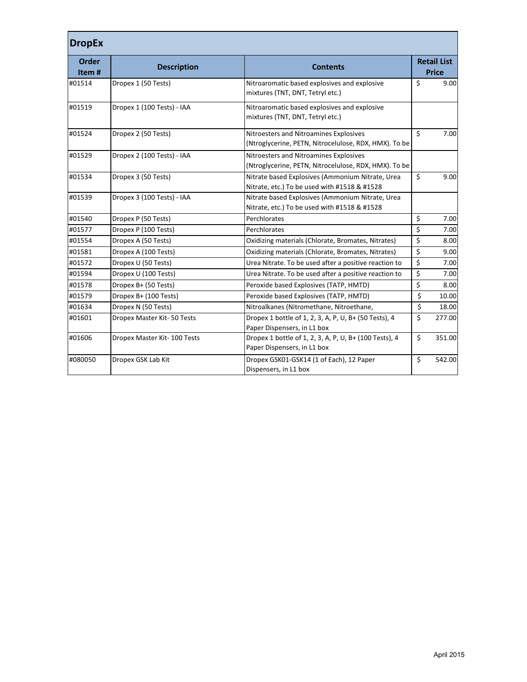| <b>DropEx</b>  |                             |                                                                                                  |                                     |                                    |
|----------------|-----------------------------|--------------------------------------------------------------------------------------------------|-------------------------------------|------------------------------------|
| Order<br>Item# | <b>Description</b>          | <b>Contents</b>                                                                                  |                                     | <b>Retail List</b><br><b>Price</b> |
| #01514         | Dropex 1 (50 Tests)         | Nitroaromatic based explosives and explosive<br>mixtures (TNT, DNT, Tetryl etc.)                 | \$                                  | 9.00                               |
| #01519         | Dropex 1 (100 Tests) - IAA  | Nitroaromatic based explosives and explosive<br>mixtures (TNT, DNT, Tetryl etc.)                 |                                     |                                    |
| #01524         | Dropex 2 (50 Tests)         | Nitroesters and Nitroamines Explosives<br>(Ntroglycerine, PETN, Nitrocelulose, RDX, HMX). To be  | \$                                  | 7.00                               |
| #01529         | Dropex 2 (100 Tests) - IAA  | Nitroesters and Nitroamines Explosives<br>(Ntroglycerine, PETN, Nitrocelulose, RDX, HMX). To be  |                                     |                                    |
| #01534         | Dropex 3 (50 Tests)         | Nitrate based Explosives (Ammonium Nitrate, Urea<br>Nitrate, etc.) To be used with #1518 & #1528 | \$                                  | 9.00                               |
| #01539         | Dropex 3 (100 Tests) - IAA  | Nitrate based Explosives (Ammonium Nitrate, Urea<br>Nitrate, etc.) To be used with #1518 & #1528 |                                     |                                    |
| #01540         | Dropex P (50 Tests)         | Perchlorates                                                                                     | \$                                  | 7.00                               |
| #01577         | Dropex P (100 Tests)        | Perchlorates                                                                                     | \$                                  | 7.00                               |
| #01554         | Dropex A (50 Tests)         | Oxidizing materials (Chlorate, Bromates, Nitrates)                                               | \$                                  | 8.00                               |
| #01581         | Dropex A (100 Tests)        | Oxidizing materials (Chlorate, Bromates, Nitrates)                                               | \$                                  | 9.00                               |
| #01572         | Dropex U (50 Tests)         | Urea Nitrate. To be used after a positive reaction to                                            | \$                                  | 7.00                               |
| #01594         | Dropex U (100 Tests)        | Urea Nitrate. To be used after a positive reaction to                                            | \$                                  | 7.00                               |
| #01578         | Dropex B+ (50 Tests)        | Peroxide based Explosives (TATP, HMTD)                                                           | $\overline{\xi}$                    | 8.00                               |
| #01579         | Dropex B+ (100 Tests)       | Peroxide based Explosives (TATP, HMTD)                                                           | \$                                  | 10.00                              |
| #01634         | Dropex N (50 Tests)         | Nitroalkanes (Nitromethane, Nitroethane,                                                         | $\overline{\boldsymbol{\varsigma}}$ | 18.00                              |
| #01601         | Dropex Master Kit-50 Tests  | Dropex 1 bottle of 1, 2, 3, A, P, U, B+ (50 Tests), 4<br>Paper Dispensers, in L1 box             | \$                                  | 277.00                             |
| #01606         | Dropex Master Kit-100 Tests | Dropex 1 bottle of 1, 2, 3, A, P, U, B+ (100 Tests), 4<br>Paper Dispensers, in L1 box            | \$                                  | 351.00                             |
| #080050        | Dropex GSK Lab Kit          | Dropex GSK01-GSK14 (1 of Each), 12 Paper<br>Dispensers, in L1 box                                | Ś.                                  | 542.00                             |